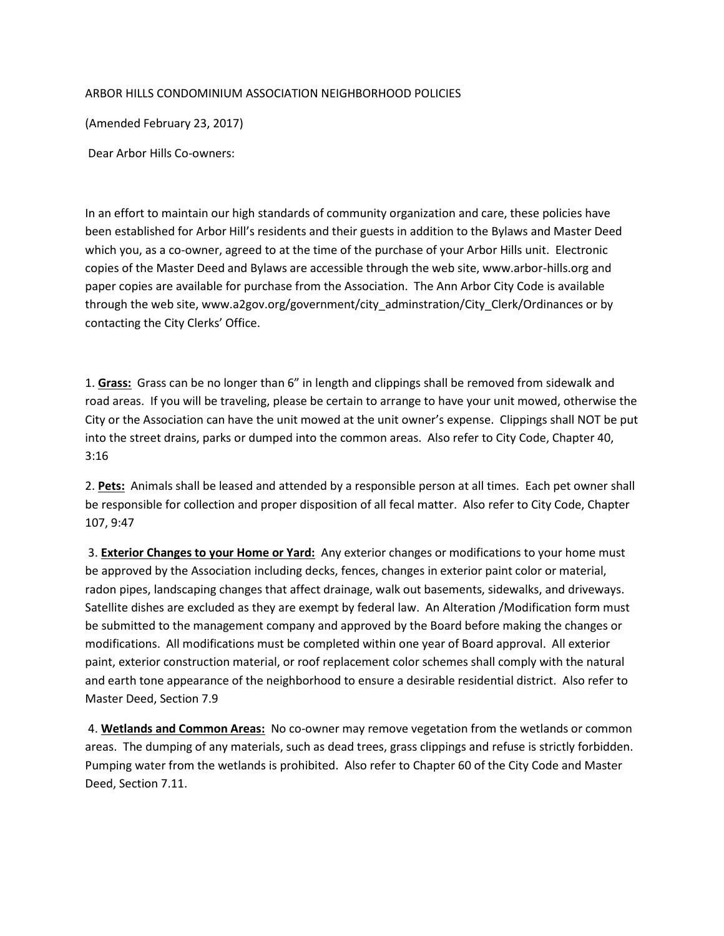## ARBOR HILLS CONDOMINIUM ASSOCIATION NEIGHBORHOOD POLICIES

(Amended February 23, 2017)

Dear Arbor Hills Co-owners:

In an effort to maintain our high standards of community organization and care, these policies have been established for Arbor Hill's residents and their guests in addition to the Bylaws and Master Deed which you, as a co-owner, agreed to at the time of the purchase of your Arbor Hills unit. Electronic copies of the Master Deed and Bylaws are accessible through the web site, www.arbor-hills.org and paper copies are available for purchase from the Association. The Ann Arbor City Code is available through the web site, www.a2gov.org/government/city\_adminstration/City\_Clerk/Ordinances or by contacting the City Clerks' Office.

1. **Grass:** Grass can be no longer than 6" in length and clippings shall be removed from sidewalk and road areas. If you will be traveling, please be certain to arrange to have your unit mowed, otherwise the City or the Association can have the unit mowed at the unit owner's expense. Clippings shall NOT be put into the street drains, parks or dumped into the common areas. Also refer to City Code, Chapter 40, 3:16

2. **Pets:** Animals shall be leased and attended by a responsible person at all times. Each pet owner shall be responsible for collection and proper disposition of all fecal matter. Also refer to City Code, Chapter 107, 9:47

3. **Exterior Changes to your Home or Yard:** Any exterior changes or modifications to your home must be approved by the Association including decks, fences, changes in exterior paint color or material, radon pipes, landscaping changes that affect drainage, walk out basements, sidewalks, and driveways. Satellite dishes are excluded as they are exempt by federal law. An Alteration /Modification form must be submitted to the management company and approved by the Board before making the changes or modifications. All modifications must be completed within one year of Board approval. All exterior paint, exterior construction material, or roof replacement color schemes shall comply with the natural and earth tone appearance of the neighborhood to ensure a desirable residential district. Also refer to Master Deed, Section 7.9

4. **Wetlands and Common Areas:** No co-owner may remove vegetation from the wetlands or common areas. The dumping of any materials, such as dead trees, grass clippings and refuse is strictly forbidden. Pumping water from the wetlands is prohibited. Also refer to Chapter 60 of the City Code and Master Deed, Section 7.11.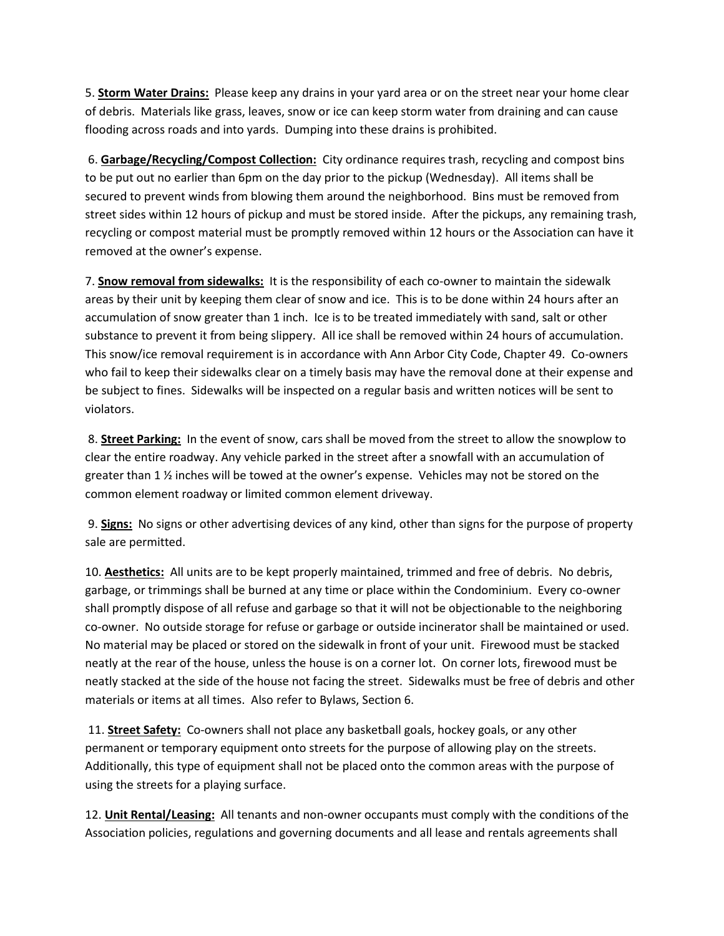5. **Storm Water Drains:** Please keep any drains in your yard area or on the street near your home clear of debris. Materials like grass, leaves, snow or ice can keep storm water from draining and can cause flooding across roads and into yards. Dumping into these drains is prohibited.

6. **Garbage/Recycling/Compost Collection:** City ordinance requires trash, recycling and compost bins to be put out no earlier than 6pm on the day prior to the pickup (Wednesday). All items shall be secured to prevent winds from blowing them around the neighborhood. Bins must be removed from street sides within 12 hours of pickup and must be stored inside. After the pickups, any remaining trash, recycling or compost material must be promptly removed within 12 hours or the Association can have it removed at the owner's expense.

7. **Snow removal from sidewalks:** It is the responsibility of each co-owner to maintain the sidewalk areas by their unit by keeping them clear of snow and ice. This is to be done within 24 hours after an accumulation of snow greater than 1 inch. Ice is to be treated immediately with sand, salt or other substance to prevent it from being slippery. All ice shall be removed within 24 hours of accumulation. This snow/ice removal requirement is in accordance with Ann Arbor City Code, Chapter 49. Co-owners who fail to keep their sidewalks clear on a timely basis may have the removal done at their expense and be subject to fines. Sidewalks will be inspected on a regular basis and written notices will be sent to violators.

8. **Street Parking:** In the event of snow, cars shall be moved from the street to allow the snowplow to clear the entire roadway. Any vehicle parked in the street after a snowfall with an accumulation of greater than 1  $\frac{1}{2}$  inches will be towed at the owner's expense. Vehicles may not be stored on the common element roadway or limited common element driveway.

9. **Signs:** No signs or other advertising devices of any kind, other than signs for the purpose of property sale are permitted.

10. **Aesthetics:** All units are to be kept properly maintained, trimmed and free of debris. No debris, garbage, or trimmings shall be burned at any time or place within the Condominium. Every co-owner shall promptly dispose of all refuse and garbage so that it will not be objectionable to the neighboring co-owner. No outside storage for refuse or garbage or outside incinerator shall be maintained or used. No material may be placed or stored on the sidewalk in front of your unit. Firewood must be stacked neatly at the rear of the house, unless the house is on a corner lot. On corner lots, firewood must be neatly stacked at the side of the house not facing the street. Sidewalks must be free of debris and other materials or items at all times. Also refer to Bylaws, Section 6.

11. **Street Safety:** Co-owners shall not place any basketball goals, hockey goals, or any other permanent or temporary equipment onto streets for the purpose of allowing play on the streets. Additionally, this type of equipment shall not be placed onto the common areas with the purpose of using the streets for a playing surface.

12. **Unit Rental/Leasing:** All tenants and non-owner occupants must comply with the conditions of the Association policies, regulations and governing documents and all lease and rentals agreements shall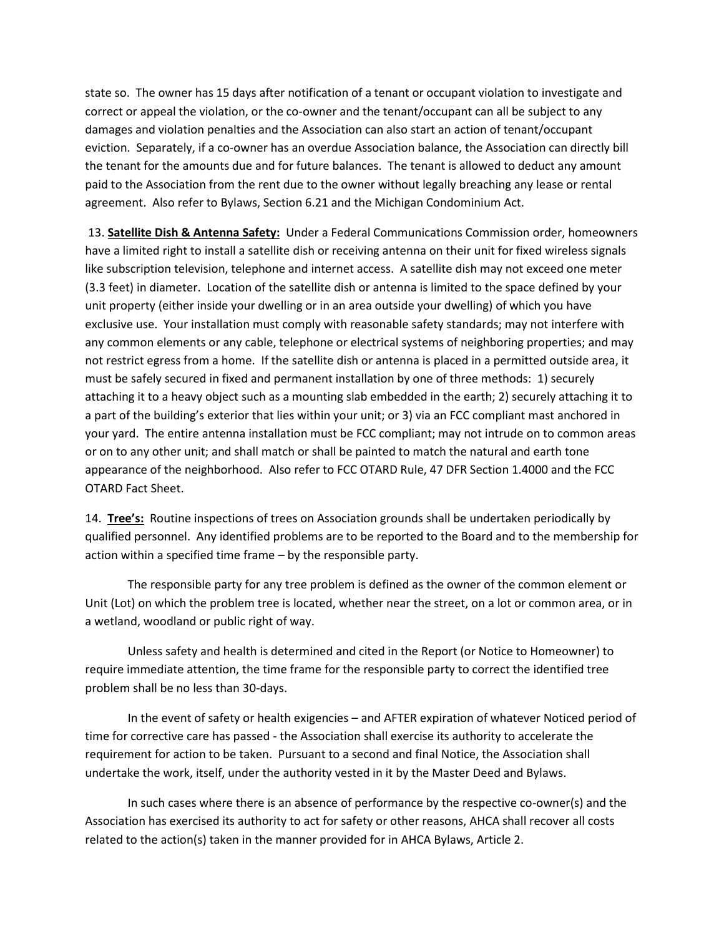state so. The owner has 15 days after notification of a tenant or occupant violation to investigate and correct or appeal the violation, or the co-owner and the tenant/occupant can all be subject to any damages and violation penalties and the Association can also start an action of tenant/occupant eviction. Separately, if a co-owner has an overdue Association balance, the Association can directly bill the tenant for the amounts due and for future balances. The tenant is allowed to deduct any amount paid to the Association from the rent due to the owner without legally breaching any lease or rental agreement. Also refer to Bylaws, Section 6.21 and the Michigan Condominium Act.

13. **Satellite Dish & Antenna Safety:** Under a Federal Communications Commission order, homeowners have a limited right to install a satellite dish or receiving antenna on their unit for fixed wireless signals like subscription television, telephone and internet access. A satellite dish may not exceed one meter (3.3 feet) in diameter. Location of the satellite dish or antenna is limited to the space defined by your unit property (either inside your dwelling or in an area outside your dwelling) of which you have exclusive use. Your installation must comply with reasonable safety standards; may not interfere with any common elements or any cable, telephone or electrical systems of neighboring properties; and may not restrict egress from a home. If the satellite dish or antenna is placed in a permitted outside area, it must be safely secured in fixed and permanent installation by one of three methods: 1) securely attaching it to a heavy object such as a mounting slab embedded in the earth; 2) securely attaching it to a part of the building's exterior that lies within your unit; or 3) via an FCC compliant mast anchored in your yard. The entire antenna installation must be FCC compliant; may not intrude on to common areas or on to any other unit; and shall match or shall be painted to match the natural and earth tone appearance of the neighborhood. Also refer to FCC OTARD Rule, 47 DFR Section 1.4000 and the FCC OTARD Fact Sheet.

14. **Tree's:** Routine inspections of trees on Association grounds shall be undertaken periodically by qualified personnel. Any identified problems are to be reported to the Board and to the membership for action within a specified time frame – by the responsible party.

The responsible party for any tree problem is defined as the owner of the common element or Unit (Lot) on which the problem tree is located, whether near the street, on a lot or common area, or in a wetland, woodland or public right of way.

Unless safety and health is determined and cited in the Report (or Notice to Homeowner) to require immediate attention, the time frame for the responsible party to correct the identified tree problem shall be no less than 30-days.

In the event of safety or health exigencies – and AFTER expiration of whatever Noticed period of time for corrective care has passed - the Association shall exercise its authority to accelerate the requirement for action to be taken. Pursuant to a second and final Notice, the Association shall undertake the work, itself, under the authority vested in it by the Master Deed and Bylaws.

In such cases where there is an absence of performance by the respective co-owner(s) and the Association has exercised its authority to act for safety or other reasons, AHCA shall recover all costs related to the action(s) taken in the manner provided for in AHCA Bylaws, Article 2.